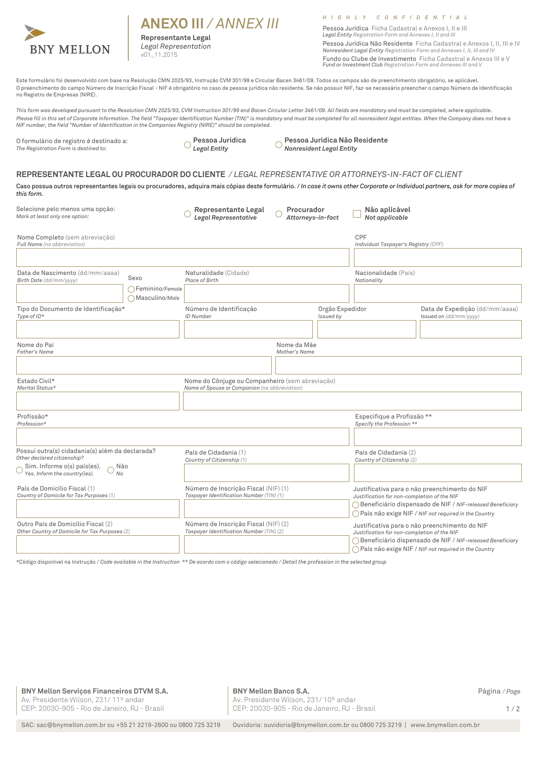

# **ANEXO III** */ ANNEX III*

**Representante Legal** *Legal Representation*  v01 11.2015

### *H I G H L Y C O N F I D E N T I A L*

Pessoa Jurídica Ficha Cadastral e Anexos I, II e III *Legal Entity Registration Form and Annexes I, II and III*

Pessoa Jurídica Não Residente Ficha Cadastral e Anexos I, II, III e IV **Nonresident Legal Entity Registration Form and Annexes I, II, III and IV** Fundo ou Clube de Investimento Ficha Cadastral e Anexos III e V *Fund or Investment Club Registration Form and Annexes III and V*

Este formulário foi desenvolvido com base na Resolução CMN 2025/93, Instrução CVM 301/99 e Circular Bacen 3461/09. Todos os campos são de preenchimento obrigatório, se aplicável. O preenchimento do campo Número de Inscrição Fiscal - NIF é obrigatório no caso de pessoa jurídica não residente. Se não possuir NIF, faz-se necessário preencher o campo Número de Identificação no Registro de Empresas (NIRE).

*This form was developed pursuant to the Resolution CMN 2025/93, CVM Instruction 301/99 and Bacen Circular Letter 3461/09. All fields are mandatory and must be completed, where applicable.*  Please fill in this set of Corporate Information. The field "Taxpayer Identification Number (TIN)" is mandatory and must be completed for all nonresident legal entities. When the Company does not have a<br>NIF number, the fie

O formulário de registro é destinado a: *The Registration Form is destined to:*

**Pessoa Jurídica** *Legal Entity*

**Pessoa Jurídica Não Residente** *Nonresident Legal Entity*

#### **REPRESENTANTE LEGAL OU PROCURADOR DO CLIENTE** */ LEGAL REPRESENTATIVE OR ATTORNEYS-IN-FACT OF CLIENT*

Caso possua outros representantes legais ou procuradores, adquira mais cópias deste formulário. / In case it owns other Corporate or Individual partners, ask for more copies of *this form.*

| Selecione pelo menos uma opção:<br>Mark at least only one option:                                                                                                                    | <b>Representante Legal</b><br><b>Legal Representative</b>                                        | Procurador<br>Attorneys-in-fact                                                  | Não aplicável<br>Not applicable                                                                                                                                                                                       |                                                                                                                                                                                                                       |  |
|--------------------------------------------------------------------------------------------------------------------------------------------------------------------------------------|--------------------------------------------------------------------------------------------------|----------------------------------------------------------------------------------|-----------------------------------------------------------------------------------------------------------------------------------------------------------------------------------------------------------------------|-----------------------------------------------------------------------------------------------------------------------------------------------------------------------------------------------------------------------|--|
| Nome Completo (sem abreviação)<br>Full Name (no abbreviation)                                                                                                                        |                                                                                                  |                                                                                  | CPF<br>Individual Taxpayer's Registry (CPF)                                                                                                                                                                           |                                                                                                                                                                                                                       |  |
| Data de Nascimento (dd/mm/aaaa)<br>Sexo<br>Birth Date (dd/mm/yyyy)<br>$\bigcap$ Feminino/Female<br>Masculino/Male                                                                    | Naturalidade (Cidade)<br>Place of Birth                                                          |                                                                                  | Nacionalidade (País)<br>Nationality                                                                                                                                                                                   | $\blacktriangledown$                                                                                                                                                                                                  |  |
| Tipo do Documento de Identificação*<br>Type of $ID*$                                                                                                                                 | Número de Identificação<br>ID Number                                                             | Orgão Expedidor<br>Issued by                                                     |                                                                                                                                                                                                                       | Data de Expedição (dd/mm/aaaa)<br>Issued on (dd/mm/yyyy)                                                                                                                                                              |  |
| Nome do Pai<br><b>Father's Name</b>                                                                                                                                                  |                                                                                                  | Nome da Mãe<br>Mother's Name                                                     |                                                                                                                                                                                                                       |                                                                                                                                                                                                                       |  |
| Estado Civil*<br>Marital Status*                                                                                                                                                     | Nome do Cônjuge ou Companheiro (sem abreviação)<br>Name of Spouse or Companion (no abbreviation) |                                                                                  |                                                                                                                                                                                                                       |                                                                                                                                                                                                                       |  |
| Profissão*<br>Profession*                                                                                                                                                            |                                                                                                  | $\overline{\phantom{0}}$                                                         | Especifique a Profissão **<br>Specify the Profession **                                                                                                                                                               |                                                                                                                                                                                                                       |  |
| Possui outra(s) cidadania(s) além da declarada?<br>Other declared citizenship?<br>Sim. Informe o(s) país(es).<br>Não<br>Yes. Inform the country(ies).<br>No                          | País de Cidadania (1)<br>Country of Citizenship (1)                                              | $\blacktriangledown$                                                             |                                                                                                                                                                                                                       | País de Cidadania (2)<br>Country of Citizenship (2)<br>$\left  \mathbf{v} \right $                                                                                                                                    |  |
| País de Domicílio Fiscal (1)<br>Número de Inscrição Fiscal (NIF) (1)<br>Taxpayer Identification Number (TIN) (1)<br>Country of Domicile for Tax Purposes (1)<br>$\blacktriangledown$ |                                                                                                  |                                                                                  | Justificativa para o não preenchimento do NIF<br>Justification for non-completion of the NIF<br>◯ Beneficiário dispensado de NIF / NIF-released Beneficiary<br>◯ País não exige NIF / NIF not required in the Country |                                                                                                                                                                                                                       |  |
| Outro País de Domicílio Fiscal (2)<br>Other Country of Domicile for Tax Purposes (2)                                                                                                 |                                                                                                  | Número de Inscrição Fiscal (NIF) (2)<br>Taxpayer Identification Number (TIN) (2) |                                                                                                                                                                                                                       | Justificativa para o não preenchimento do NIF<br>Justification for non-completion of the NIF<br>◯ Beneficiário dispensado de NIF / NIF-released Beneficiary<br>◯ País não exige NIF / NIF not required in the Country |  |

\*Código disponível na Instrução / *Code available in the Instruction \*\* De acordo com o código selecionado / Detail the profession in the selected group*

**BNY Mellon Serviços Financeiros DTVM S.A.** Página */ Page* Av. Presidente Wilson, 231/ 11º andar CEP: 20030-905 - Rio de Janeiro, RJ - Brasil

**BNY Mellon Banco S.A.** Av. Presidente Wilson, 231/ 10º andar CEP: 20030-905 - Rio de Janeiro, RJ - Brasil

 $1/2$